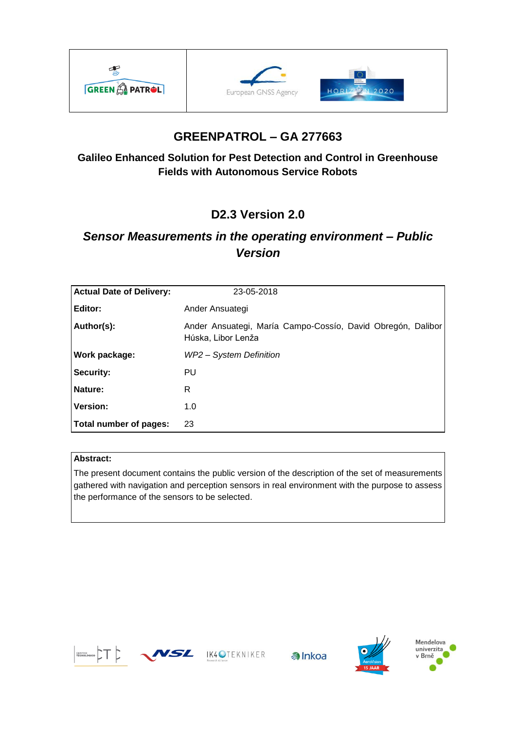





# **GREENPATROL – GA 277663**

### **Galileo Enhanced Solution for Pest Detection and Control in Greenhouse Fields with Autonomous Service Robots**

# **D2.3 Version 2.0**

# *Sensor Measurements in the operating environment – Public Version*

| <b>Actual Date of Delivery:</b> | 23-05-2018                                                                        |
|---------------------------------|-----------------------------------------------------------------------------------|
| Editor:                         | Ander Ansuategi                                                                   |
| Author(s):                      | Ander Ansuategi, María Campo-Cossío, David Obregón, Dalibor<br>Húska, Libor Lenža |
| Work package:                   | WP2 - System Definition                                                           |
| Security:                       | PU.                                                                               |
| Nature:                         | R                                                                                 |
| <b>Version:</b>                 | 1.0                                                                               |
| Total number of pages:          | 23                                                                                |

#### **Abstract:**

The present document contains the public version of the description of the set of measurements gathered with navigation and perception sensors in real environment with the purpose to assess the performance of the sensors to be selected.



WSL IK4OTEKNIKER





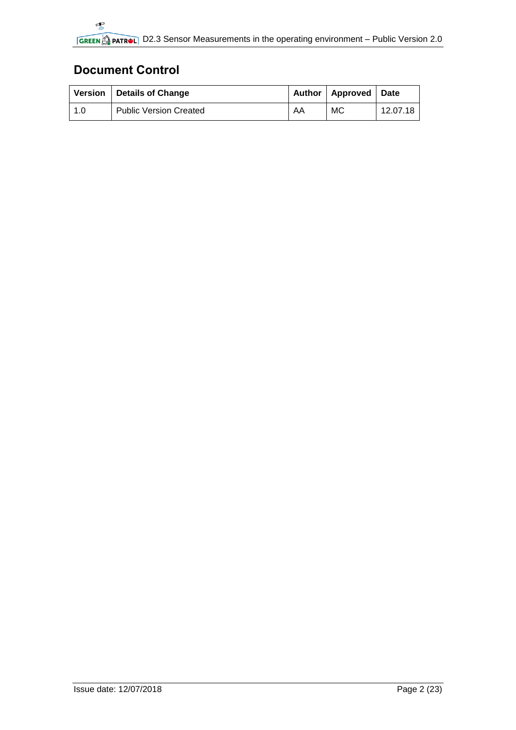# <span id="page-1-0"></span>**Document Control**

|     | Version   Details of Change   |    | Author   Approved   Date |          |
|-----|-------------------------------|----|--------------------------|----------|
| 1.0 | <b>Public Version Created</b> | AA | МC                       | 12.07.18 |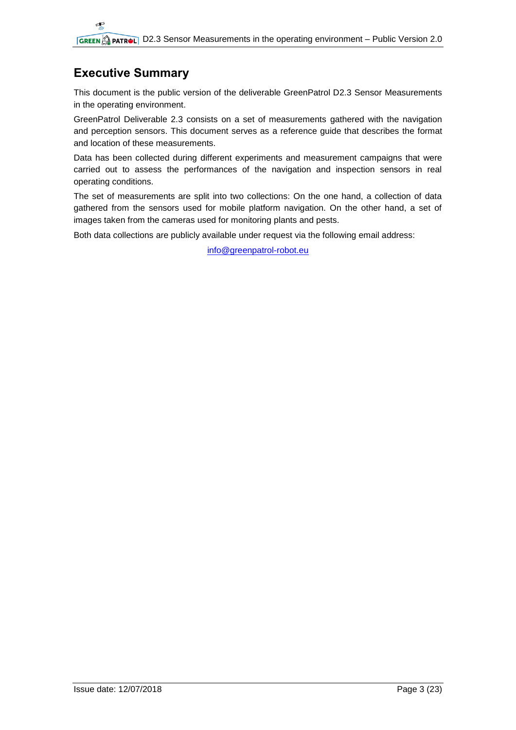# <span id="page-2-0"></span>**Executive Summary**

This document is the public version of the deliverable GreenPatrol D2.3 Sensor Measurements in the operating environment.

GreenPatrol Deliverable 2.3 consists on a set of measurements gathered with the navigation and perception sensors. This document serves as a reference guide that describes the format and location of these measurements.

Data has been collected during different experiments and measurement campaigns that were carried out to assess the performances of the navigation and inspection sensors in real operating conditions.

The set of measurements are split into two collections: On the one hand, a collection of data gathered from the sensors used for mobile platform navigation. On the other hand, a set of images taken from the cameras used for monitoring plants and pests.

Both data collections are publicly available under request via the following email address:

[info@greenpatrol-robot.eu](mailto:info@greenpatrol-robot.eu)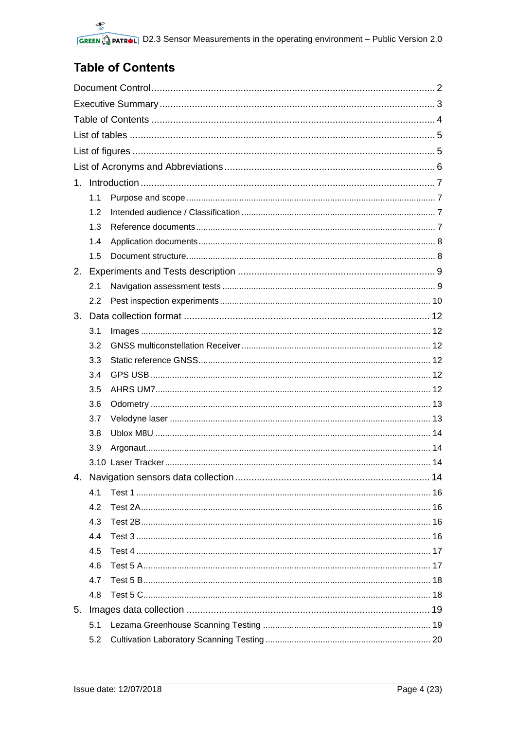# <span id="page-3-0"></span>**Table of Contents**

| 1. |     |  |
|----|-----|--|
|    | 1.1 |  |
|    | 1.2 |  |
|    | 1.3 |  |
|    | 1.4 |  |
|    | 1.5 |  |
| 2. |     |  |
|    | 2.1 |  |
|    | 2.2 |  |
| 3. |     |  |
|    | 3.1 |  |
|    | 3.2 |  |
|    | 3.3 |  |
|    | 3.4 |  |
|    | 3.5 |  |
|    | 3.6 |  |
|    | 3.7 |  |
|    | 3.8 |  |
|    | 3.9 |  |
|    |     |  |
|    |     |  |
|    | 4.1 |  |
|    | 4.2 |  |
|    | 4.3 |  |
|    | 4.4 |  |
|    | 4.5 |  |
|    | 4.6 |  |
|    | 4.7 |  |
|    | 4.8 |  |
| 5. |     |  |
|    | 5.1 |  |
|    | 5.2 |  |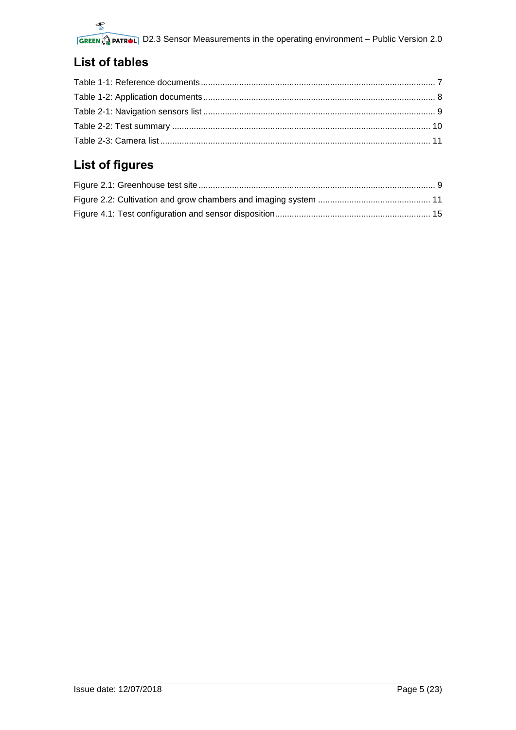# <span id="page-4-0"></span>**List of tables**

# <span id="page-4-1"></span>**List of figures**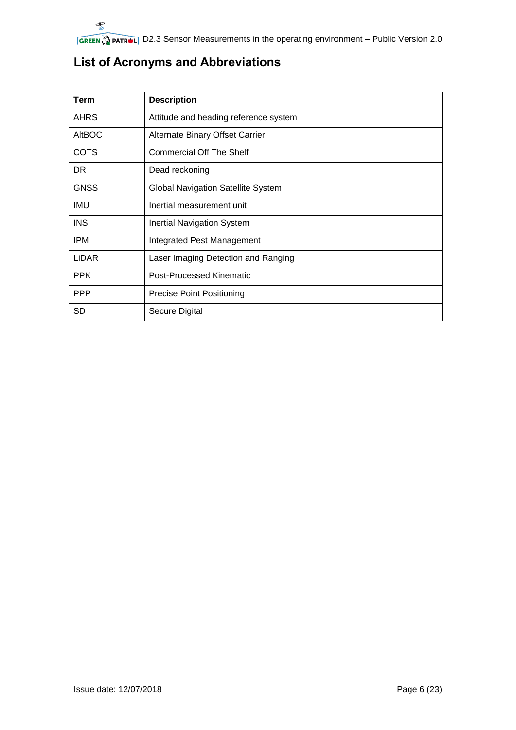| Term          | <b>Description</b>                        |
|---------------|-------------------------------------------|
| <b>AHRS</b>   | Attitude and heading reference system     |
| <b>AltBOC</b> | Alternate Binary Offset Carrier           |
| <b>COTS</b>   | <b>Commercial Off The Shelf</b>           |
| DR.           | Dead reckoning                            |
| <b>GNSS</b>   | <b>Global Navigation Satellite System</b> |
| IMU           | Inertial measurement unit                 |
| <b>INS</b>    | <b>Inertial Navigation System</b>         |
| <b>IPM</b>    | Integrated Pest Management                |
| LIDAR         | Laser Imaging Detection and Ranging       |
| <b>PPK</b>    | <b>Post-Processed Kinematic</b>           |
| <b>PPP</b>    | <b>Precise Point Positioning</b>          |
| <b>SD</b>     | Secure Digital                            |

# <span id="page-5-0"></span>**List of Acronyms and Abbreviations**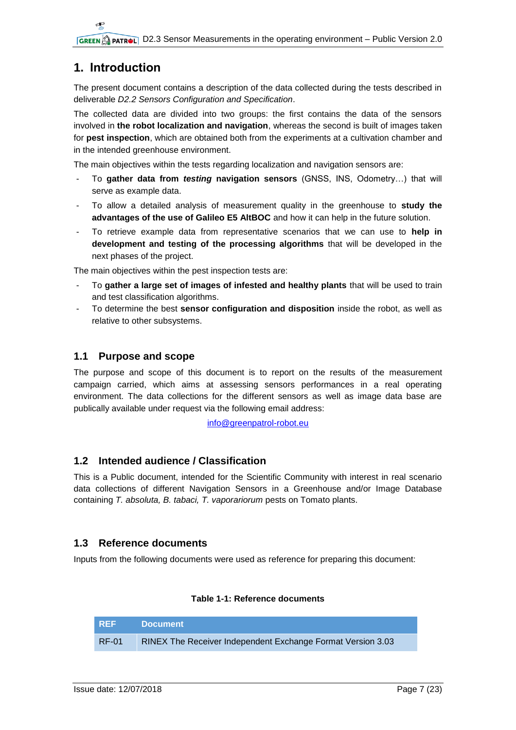## <span id="page-6-0"></span>**1. Introduction**

The present document contains a description of the data collected during the tests described in deliverable *D2.2 Sensors Configuration and Specification*.

The collected data are divided into two groups: the first contains the data of the sensors involved in **the robot localization and navigation**, whereas the second is built of images taken for **pest inspection**, which are obtained both from the experiments at a cultivation chamber and in the intended greenhouse environment.

The main objectives within the tests regarding localization and navigation sensors are:

- To **gather data from** *testing* **navigation sensors** (GNSS, INS, Odometry…) that will serve as example data.
- To allow a detailed analysis of measurement quality in the greenhouse to **study the advantages of the use of Galileo E5 AltBOC** and how it can help in the future solution.
- To retrieve example data from representative scenarios that we can use to **help in development and testing of the processing algorithms** that will be developed in the next phases of the project.

The main objectives within the pest inspection tests are:

- To **gather a large set of images of infested and healthy plants** that will be used to train and test classification algorithms.
- To determine the best **sensor configuration and disposition** inside the robot, as well as relative to other subsystems.

### <span id="page-6-1"></span>**1.1 Purpose and scope**

The purpose and scope of this document is to report on the results of the measurement campaign carried, which aims at assessing sensors performances in a real operating environment. The data collections for the different sensors as well as image data base are publically available under request via the following email address:

[info@greenpatrol-robot.eu](mailto:info@greenpatrol-robot.eu)

#### <span id="page-6-2"></span>**1.2 Intended audience / Classification**

This is a Public document, intended for the Scientific Community with interest in real scenario data collections of different Navigation Sensors in a Greenhouse and/or Image Database containing *T. absoluta, B. tabaci, T. vaporariorum* pests on Tomato plants.

#### <span id="page-6-3"></span>**1.3 Reference documents**

Inputs from the following documents were used as reference for preparing this document:

#### **Table 1-1: Reference documents**

<span id="page-6-4"></span>

| <b>REF</b> | <b>Document</b>                                             |
|------------|-------------------------------------------------------------|
| RF-01      | RINEX The Receiver Independent Exchange Format Version 3.03 |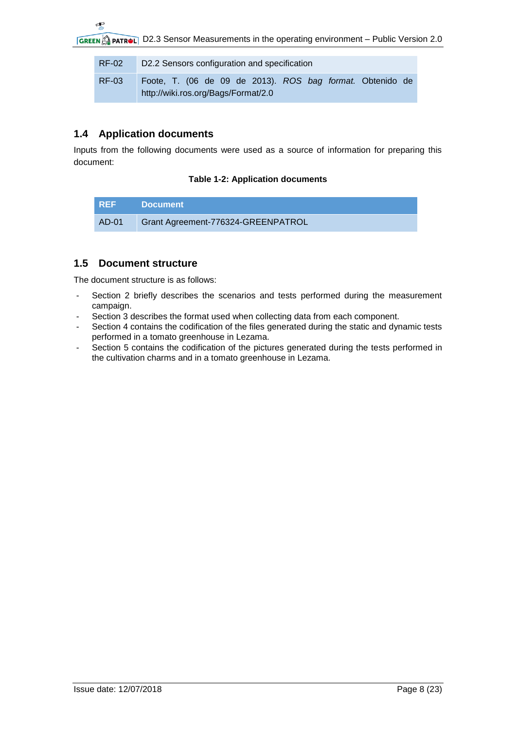| <b>RF-02</b> | D2.2 Sensors configuration and specification                                                     |  |  |  |  |  |
|--------------|--------------------------------------------------------------------------------------------------|--|--|--|--|--|
| RF-03        | Foote, T. (06 de 09 de 2013). ROS bag format. Obtenido de<br>http://wiki.ros.org/Bags/Format/2.0 |  |  |  |  |  |

### <span id="page-7-0"></span>**1.4 Application documents**

<span id="page-7-2"></span>Inputs from the following documents were used as a source of information for preparing this document:

#### **Table 1-2: Application documents**

| REF   | Document                           |
|-------|------------------------------------|
| AD-01 | Grant Agreement-776324-GREENPATROL |

### <span id="page-7-1"></span>**1.5 Document structure**

The document structure is as follows:

- Section 2 briefly describes the scenarios and tests performed during the measurement campaign.
- Section 3 describes the format used when collecting data from each component.
- Section 4 contains the codification of the files generated during the static and dynamic tests performed in a tomato greenhouse in Lezama.
- Section 5 contains the codification of the pictures generated during the tests performed in the cultivation charms and in a tomato greenhouse in Lezama.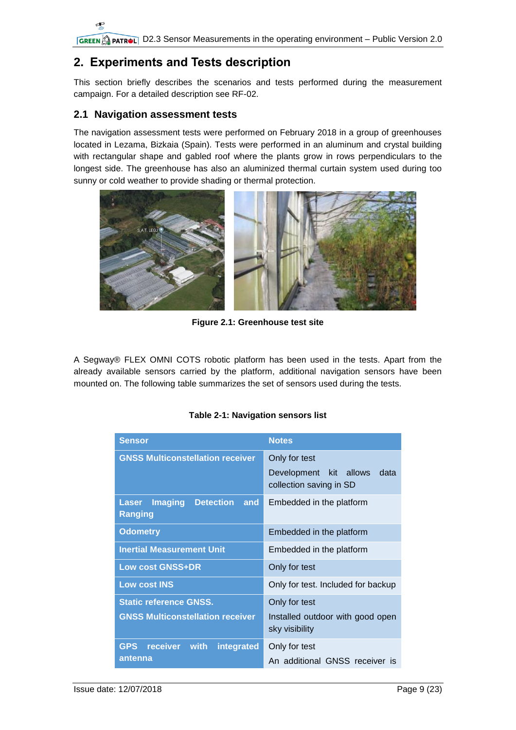# <span id="page-8-0"></span>**2. Experiments and Tests description**

This section briefly describes the scenarios and tests performed during the measurement campaign. For a detailed description see RF-02.

### <span id="page-8-1"></span>**2.1 Navigation assessment tests**

The navigation assessment tests were performed on February 2018 in a group of greenhouses located in Lezama, Bizkaia (Spain). Tests were performed in an aluminum and crystal building with rectangular shape and gabled roof where the plants grow in rows perpendiculars to the longest side. The greenhouse has also an aluminized thermal curtain system used during too sunny or cold weather to provide shading or thermal protection.



**Figure 2.1: Greenhouse test site**

<span id="page-8-3"></span>A Segway® FLEX OMNI COTS robotic platform has been used in the tests. Apart from the already available sensors carried by the platform, additional navigation sensors have been mounted on. The following table summarizes the set of sensors used during the tests.

|  |  | Table 2-1: Navigation sensors list |
|--|--|------------------------------------|
|--|--|------------------------------------|

<span id="page-8-2"></span>

| Sensor                                                                      | <b>Notes</b>                                                               |  |  |
|-----------------------------------------------------------------------------|----------------------------------------------------------------------------|--|--|
| <b>GNSS Multiconstellation receiver</b>                                     | Only for test<br>Development kit allows<br>data<br>collection saving in SD |  |  |
| <b>Imaging</b><br><b>Detection</b><br><b>Laser</b><br>and<br><b>Ranging</b> | Embedded in the platform                                                   |  |  |
| <b>Odometry</b>                                                             | Embedded in the platform                                                   |  |  |
| <b>Inertial Measurement Unit</b>                                            | Embedded in the platform                                                   |  |  |
| <b>Low cost GNSS+DR</b>                                                     | Only for test                                                              |  |  |
| <b>Low cost INS</b>                                                         | Only for test. Included for backup                                         |  |  |
| <b>Static reference GNSS.</b><br><b>GNSS Multiconstellation receiver</b>    | Only for test<br>Installed outdoor with good open<br>sky visibility        |  |  |
| <b>GPS</b><br>receiver<br>with<br>integrated<br>antenna                     | Only for test<br>An additional GNSS receiver is                            |  |  |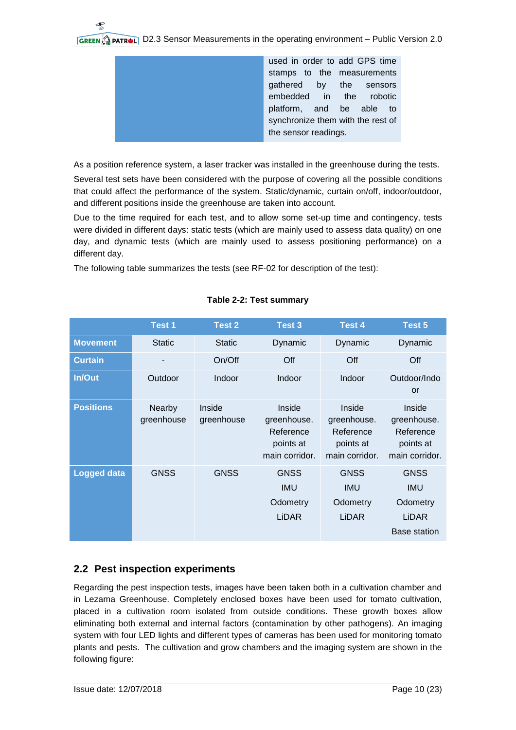|  | used in order to add GPS time<br>stamps to the measurements<br>gathered by the sensors<br>embedded in the robotic<br>platform, and be able to<br>synchronize them with the rest of<br>the sensor readings. |
|--|------------------------------------------------------------------------------------------------------------------------------------------------------------------------------------------------------------|

As a position reference system, a laser tracker was installed in the greenhouse during the tests.

Several test sets have been considered with the purpose of covering all the possible conditions that could affect the performance of the system. Static/dynamic, curtain on/off, indoor/outdoor, and different positions inside the greenhouse are taken into account.

Due to the time required for each test, and to allow some set-up time and contingency, tests were divided in different days: static tests (which are mainly used to assess data quality) on one day, and dynamic tests (which are mainly used to assess positioning performance) on a different day.

The following table summarizes the tests (see RF-02 for description of the test):

<span id="page-9-1"></span>

|                    | Test 1                      | Test 2               | <b>Test 3</b>                                                     | <b>Test 4</b>                                                     | Test 5                                                                |
|--------------------|-----------------------------|----------------------|-------------------------------------------------------------------|-------------------------------------------------------------------|-----------------------------------------------------------------------|
| <b>Movement</b>    | <b>Static</b>               | <b>Static</b>        | Dynamic                                                           | Dynamic                                                           | Dynamic                                                               |
| <b>Curtain</b>     |                             | On/Off               | Off                                                               | Off                                                               | Off                                                                   |
| <b>In/Out</b>      | Outdoor                     | Indoor               | Indoor                                                            | Indoor                                                            | Outdoor/Indo<br>or                                                    |
| <b>Positions</b>   | <b>Nearby</b><br>greenhouse | Inside<br>greenhouse | Inside<br>greenhouse.<br>Reference<br>points at<br>main corridor. | Inside<br>greenhouse.<br>Reference<br>points at<br>main corridor. | Inside<br>greenhouse.<br>Reference<br>points at<br>main corridor.     |
| <b>Logged data</b> | <b>GNSS</b>                 | <b>GNSS</b>          | <b>GNSS</b><br><b>IMU</b><br>Odometry<br>LIDAR                    | <b>GNSS</b><br><b>IMU</b><br>Odometry<br><b>LiDAR</b>             | <b>GNSS</b><br><b>IMU</b><br>Odometry<br>LIDAR<br><b>Base station</b> |

#### **Table 2-2: Test summary**

### <span id="page-9-0"></span>**2.2 Pest inspection experiments**

Regarding the pest inspection tests, images have been taken both in a cultivation chamber and in Lezama Greenhouse. Completely enclosed boxes have been used for tomato cultivation, placed in a cultivation room isolated from outside conditions. These growth boxes allow eliminating both external and internal factors (contamination by other pathogens). An imaging system with four LED lights and different types of cameras has been used for monitoring tomato plants and pests. The cultivation and grow chambers and the imaging system are shown in the following figure: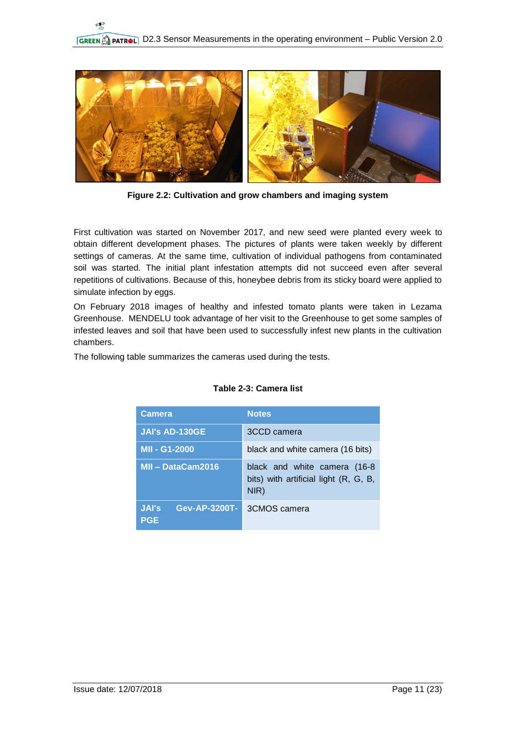

**Figure 2.2: Cultivation and grow chambers and imaging system**

<span id="page-10-1"></span>First cultivation was started on November 2017, and new seed were planted every week to obtain different development phases. The pictures of plants were taken weekly by different settings of cameras. At the same time, cultivation of individual pathogens from contaminated soil was started. The initial plant infestation attempts did not succeed even after several repetitions of cultivations. Because of this, honeybee debris from its sticky board were applied to simulate infection by eggs.

On February 2018 images of healthy and infested tomato plants were taken in Lezama Greenhouse. MENDELU took advantage of her visit to the Greenhouse to get some samples of infested leaves and soil that have been used to successfully infest new plants in the cultivation chambers.

<span id="page-10-0"></span>The following table summarizes the cameras used during the tests.

| <b>Camera</b>                                      | <b>Notes</b>                                                                  |
|----------------------------------------------------|-------------------------------------------------------------------------------|
| <b>JAI's AD-130GE</b>                              | 3CCD camera                                                                   |
| <b>MII - G1-2000</b>                               | black and white camera (16 bits)                                              |
| MII - DataCam2016                                  | black and white camera (16-8<br>bits) with artificial light (R, G, B,<br>NIR) |
| <b>JAI's</b><br><b>Gev-AP-3200T-</b><br><b>PGE</b> | 3CMOS camera                                                                  |

#### **Table 2-3: Camera list**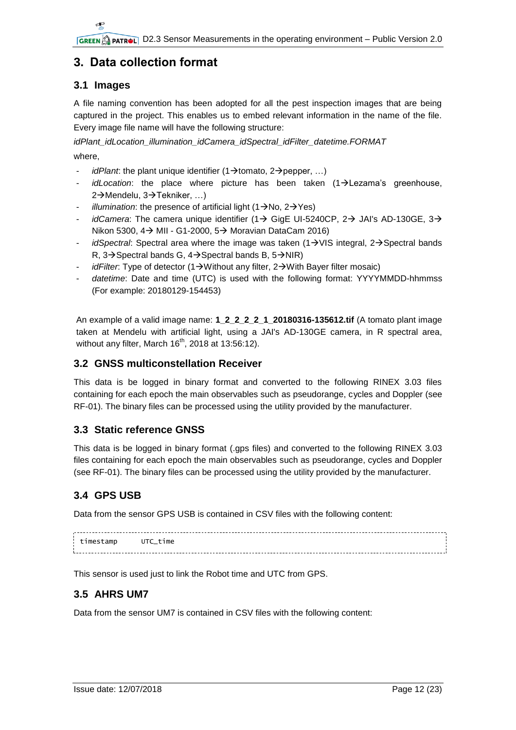## <span id="page-11-0"></span>**3. Data collection format**

### <span id="page-11-1"></span>**3.1 Images**

A file naming convention has been adopted for all the pest inspection images that are being captured in the project. This enables us to embed relevant information in the name of the file. Every image file name will have the following structure:

*idPlant\_idLocation\_illumination\_idCamera\_idSpectral\_idFilter\_datetime.FORMAT*

where,

- *idPlant*: the plant unique identifier  $(1\rightarrow$ tomato, 2 $\rightarrow$ pepper, ...)
- *idLocation*: the place where picture has been taken (1->Lezama's greenhouse, 2→Mendelu, 3→Tekniker, ...)
- *illumination*: the presence of artificial light  $(1\rightarrow N_0, 2\rightarrow Y_0)$
- *idCamera*: The camera unique identifier (1 $\rightarrow$  GigE UI-5240CP, 2 $\rightarrow$  JAI's AD-130GE, 3 $\rightarrow$ Nikon 5300,  $4\rightarrow$  MII - G1-2000,  $5\rightarrow$  Moravian DataCam 2016)
- *idSpectral*: Spectral area where the image was taken  $(1\rightarrow VIS$  integral,  $2\rightarrow$ Spectral bands R,  $3\rightarrow$  Spectral bands G,  $4\rightarrow$  Spectral bands B,  $5\rightarrow$  NIR)
- *idFilter*: Type of detector (1  $\rightarrow$  Without any filter, 2  $\rightarrow$  With Bayer filter mosaic)
- datetime: Date and time (UTC) is used with the following format: YYYYMMDD-hhmmss (For example: 20180129-154453)

An example of a valid image name: **1\_2\_2\_2\_2\_1\_20180316-135612.tif** (A tomato plant image taken at Mendelu with artificial light, using a JAI's AD-130GE camera, in R spectral area, without any filter, March  $16<sup>th</sup>$ , 2018 at 13:56:12).

#### <span id="page-11-2"></span>**3.2 GNSS multiconstellation Receiver**

This data is be logged in binary format and converted to the following RINEX 3.03 files containing for each epoch the main observables such as pseudorange, cycles and Doppler (see RF-01). The binary files can be processed using the utility provided by the manufacturer.

#### <span id="page-11-3"></span>**3.3 Static reference GNSS**

This data is be logged in binary format (.gps files) and converted to the following RINEX 3.03 files containing for each epoch the main observables such as pseudorange, cycles and Doppler (see RF-01). The binary files can be processed using the utility provided by the manufacturer.

#### <span id="page-11-4"></span>**3.4 GPS USB**

Data from the sensor GPS USB is contained in CSV files with the following content:

| timestamp+ | tıme |  |  |
|------------|------|--|--|
|            |      |  |  |

This sensor is used just to link the Robot time and UTC from GPS.

### <span id="page-11-5"></span>**3.5 AHRS UM7**

Data from the sensor UM7 is contained in CSV files with the following content: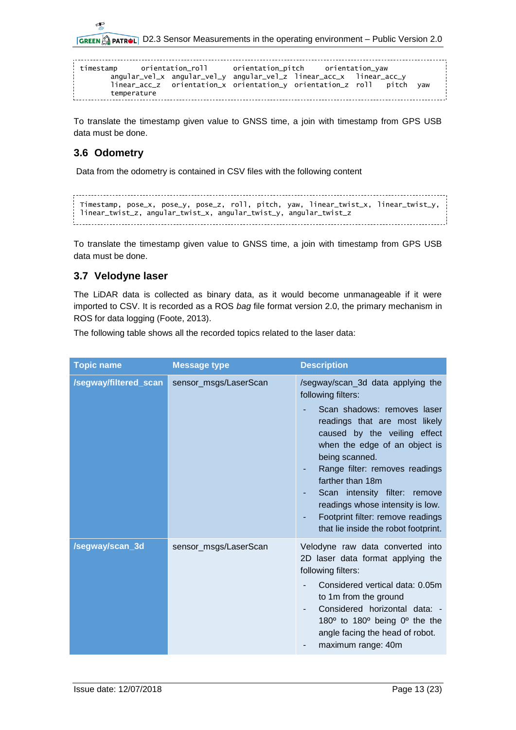$\overline{\mathbf{f}}$ **GREEN APATROL D2.3 Sensor Measurements in the operating environment – Public Version 2.0** 

| timestamp orientation_roll orientation_pitch orientation_yaw |                                                                                                                                              |  |  |
|--------------------------------------------------------------|----------------------------------------------------------------------------------------------------------------------------------------------|--|--|
|                                                              | angular_vel_x angular_vel_y angular_vel_z linear_acc_x linear_acc_y<br>linear_acc_z orientation_x orientation_y orientation_z roll pitch yaw |  |  |
| temperature                                                  |                                                                                                                                              |  |  |

To translate the timestamp given value to GNSS time, a join with timestamp from GPS USB data must be done.

### <span id="page-12-0"></span>**3.6 Odometry**

Data from the odometry is contained in CSV files with the following content

```
Timestamp, pose_x, pose_y, pose_z, roll, pitch, yaw, linear_twist_x, linear_twist_y, 
linear_twist_z, angular_twist_x, angular_twist_y, angular_twist_z
```
To translate the timestamp given value to GNSS time, a join with timestamp from GPS USB data must be done.

#### <span id="page-12-1"></span>**3.7 Velodyne laser**

The LiDAR data is collected as binary data, as it would become unmanageable if it were imported to CSV. It is recorded as a ROS *bag* file format version 2.0, the primary mechanism in ROS for data logging (Foote, 2013).

The following table shows all the recorded topics related to the laser data:

| <b>Topic name</b>     | <b>Message type</b>   | <b>Description</b>                                                                                                                                                                                                                                                                                                                                                                                                      |
|-----------------------|-----------------------|-------------------------------------------------------------------------------------------------------------------------------------------------------------------------------------------------------------------------------------------------------------------------------------------------------------------------------------------------------------------------------------------------------------------------|
| /segway/filtered_scan | sensor_msgs/LaserScan | /segway/scan_3d data applying the<br>following filters:<br>Scan shadows: removes laser<br>readings that are most likely<br>caused by the veiling effect<br>when the edge of an object is<br>being scanned.<br>Range filter: removes readings<br>farther than 18m<br>Scan intensity filter: remove<br>readings whose intensity is low.<br>Footprint filter: remove readings<br>٠<br>that lie inside the robot footprint. |
| /segway/scan_3d       | sensor_msgs/LaserScan | Velodyne raw data converted into<br>2D laser data format applying the<br>following filters:<br>Considered vertical data: 0.05m<br>to 1m from the ground<br>Considered horizontal data: -<br>180 $\degree$ to 180 $\degree$ being 0 $\degree$ the the<br>angle facing the head of robot.<br>maximum range: 40m                                                                                                           |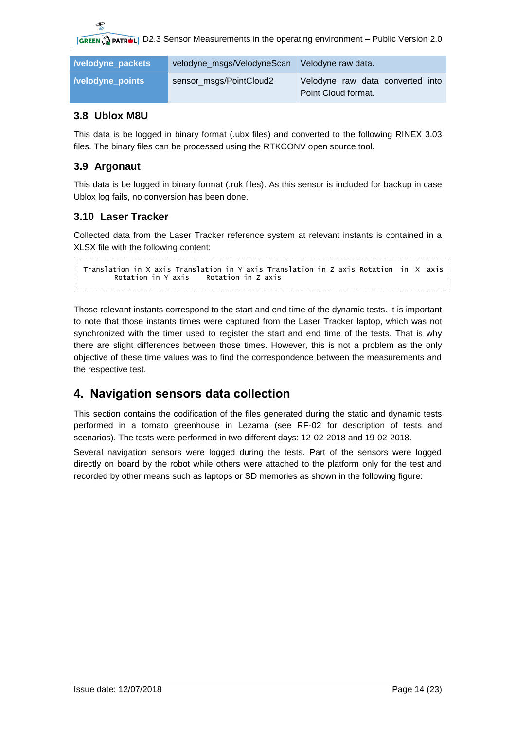**GREEN APATROL D2.3 Sensor Measurements in the operating environment – Public Version 2.0** 

| <i>l</i> velodyne packets | velodyne_msgs/VelodyneScan | Velodyne raw data.                                      |
|---------------------------|----------------------------|---------------------------------------------------------|
| <i>l</i> velodyne points  | sensor_msgs/PointCloud2    | Velodyne raw data converted into<br>Point Cloud format. |

#### <span id="page-13-0"></span>**3.8 Ublox M8U**

This data is be logged in binary format (.ubx files) and converted to the following RINEX 3.03 files. The binary files can be processed using the RTKCONV open source tool.

#### <span id="page-13-1"></span>**3.9 Argonaut**

This data is be logged in binary format (.rok files). As this sensor is included for backup in case Ublox log fails, no conversion has been done.

#### <span id="page-13-2"></span>**3.10 Laser Tracker**

Collected data from the Laser Tracker reference system at relevant instants is contained in a XLSX file with the following content:

```
Translation in X axis Translation in Y axis Translation in Z axis Rotation in X axis
    Rotation in Y axis Rotation in Z axis
```
Those relevant instants correspond to the start and end time of the dynamic tests. It is important to note that those instants times were captured from the Laser Tracker laptop, which was not synchronized with the timer used to register the start and end time of the tests. That is why there are slight differences between those times. However, this is not a problem as the only objective of these time values was to find the correspondence between the measurements and the respective test.

### <span id="page-13-3"></span>**4. Navigation sensors data collection**

This section contains the codification of the files generated during the static and dynamic tests performed in a tomato greenhouse in Lezama (see RF-02 for description of tests and scenarios). The tests were performed in two different days: 12-02-2018 and 19-02-2018.

Several navigation sensors were logged during the tests. Part of the sensors were logged directly on board by the robot while others were attached to the platform only for the test and recorded by other means such as laptops or SD memories as shown in the following figure: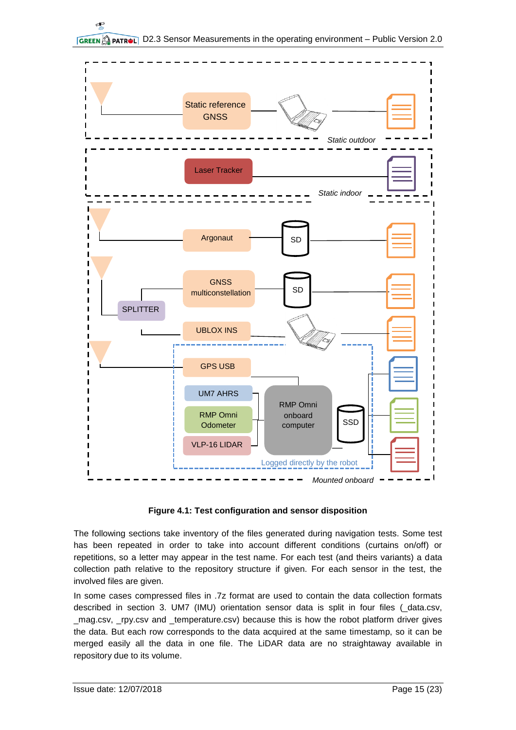



<span id="page-14-0"></span>The following sections take inventory of the files generated during navigation tests. Some test has been repeated in order to take into account different conditions (curtains on/off) or repetitions, so a letter may appear in the test name. For each test (and theirs variants) a data collection path relative to the repository structure if given. For each sensor in the test, the involved files are given.

In some cases compressed files in .7z format are used to contain the data collection formats described in section [3.](#page-11-0) UM7 (IMU) orientation sensor data is split in four files (\_data.csv, \_mag.csv, \_rpy.csv and \_temperature.csv) because this is how the robot platform driver gives the data. But each row corresponds to the data acquired at the same timestamp, so it can be merged easily all the data in one file. The LiDAR data are no straightaway available in repository due to its volume.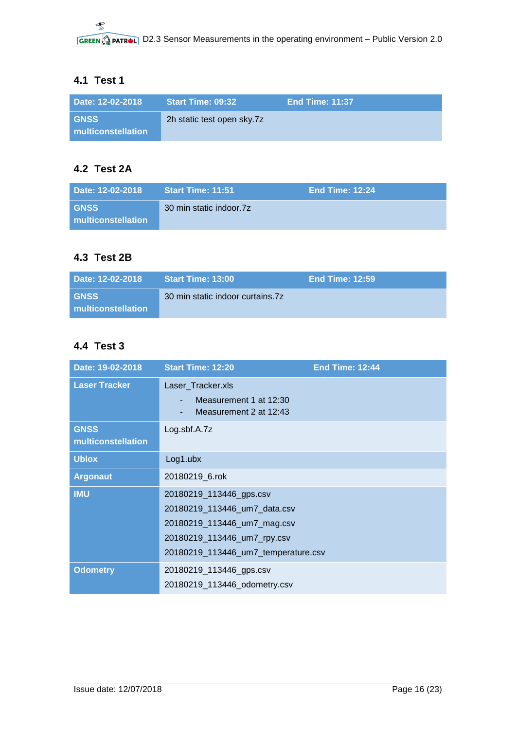### <span id="page-15-0"></span>**4.1 Test 1**

| Date: 12-02-2018                  | <b>Start Time: 09:32</b>   | <b>End Time: 11:37</b> |
|-----------------------------------|----------------------------|------------------------|
| <b>GNSS</b><br>multiconstellation | 2h static test open sky.7z |                        |

### <span id="page-15-1"></span>**4.2 Test 2A**

| Date: 12-02-2018                  | <b>Start Time: 11:51</b> | ا End Time: 12:24 ا |
|-----------------------------------|--------------------------|---------------------|
| <b>GNSS</b><br>multiconstellation | 30 min static indoor.7z  |                     |

### <span id="page-15-2"></span>**4.3 Test 2B**

| Date: 12-02-2018                  | <b>Start Time: 13:00</b>         | <b>End Time: 12:59</b> |
|-----------------------------------|----------------------------------|------------------------|
| <b>GNSS</b><br>multiconstellation | 30 min static indoor curtains.7z |                        |

### <span id="page-15-3"></span>**4.4 Test 3**

| Date: 19-02-2018                  | <b>Start Time: 12:20</b>                                                                                                                                     | <b>End Time: 12:44</b> |
|-----------------------------------|--------------------------------------------------------------------------------------------------------------------------------------------------------------|------------------------|
| <b>Laser Tracker</b>              | Laser_Tracker.xls<br>Measurement 1 at 12:30<br>Measurement 2 at 12:43                                                                                        |                        |
| <b>GNSS</b><br>multiconstellation | Log. sbf.A. 7z                                                                                                                                               |                        |
| <b>Ublox</b>                      | $Log1.$ ubx                                                                                                                                                  |                        |
| <b>Argonaut</b>                   | 20180219 6.rok                                                                                                                                               |                        |
| <b>IMU</b>                        | 20180219_113446_gps.csv<br>20180219_113446_um7_data.csv<br>20180219_113446_um7_mag.csv<br>20180219_113446_um7_rpy.csv<br>20180219_113446_um7_temperature.csv |                        |
| <b>Odometry</b>                   | 20180219_113446_gps.csv<br>20180219_113446_odometry.csv                                                                                                      |                        |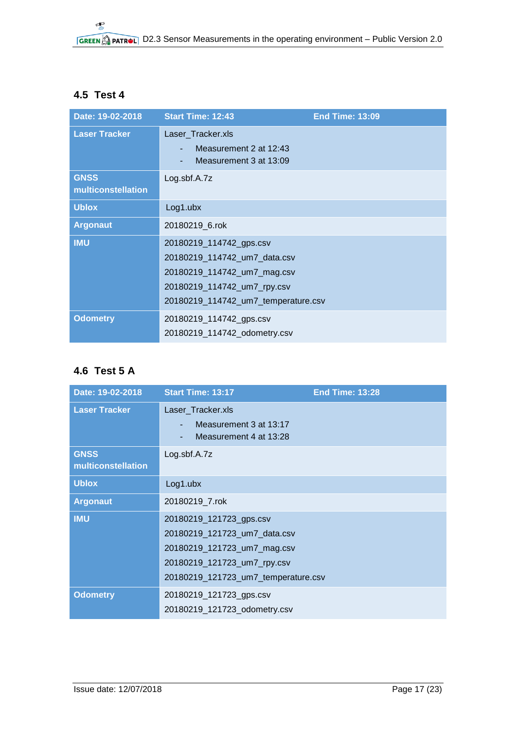### <span id="page-16-0"></span>**4.5 Test 4**

| Date: 19-02-2018                  | <b>Start Time: 12:43</b>                                                                                                                                     | <b>End Time: 13:09</b> |
|-----------------------------------|--------------------------------------------------------------------------------------------------------------------------------------------------------------|------------------------|
| <b>Laser Tracker</b>              | Laser_Tracker.xls<br>Measurement 2 at 12:43<br>Measurement 3 at 13:09                                                                                        |                        |
| <b>GNSS</b><br>multiconstellation | Log. sbf.A. 7z                                                                                                                                               |                        |
| <b>Ublox</b>                      | Log1.ubx                                                                                                                                                     |                        |
| <b>Argonaut</b>                   | 20180219_6.rok                                                                                                                                               |                        |
| <b>IMU</b>                        | 20180219_114742_gps.csv<br>20180219_114742_um7_data.csv<br>20180219_114742_um7_mag.csv<br>20180219_114742_um7_rpy.csv<br>20180219_114742_um7_temperature.csv |                        |
| <b>Odometry</b>                   | 20180219_114742_gps.csv<br>20180219_114742_odometry.csv                                                                                                      |                        |

## <span id="page-16-1"></span>**4.6 Test 5 A**

| Date: 19-02-2018                  | <b>Start Time: 13:17</b>                                                                                                                                     | <b>End Time: 13:28</b> |
|-----------------------------------|--------------------------------------------------------------------------------------------------------------------------------------------------------------|------------------------|
| <b>Laser Tracker</b>              | Laser_Tracker.xls<br>Measurement 3 at 13:17<br>Measurement 4 at 13:28                                                                                        |                        |
| <b>GNSS</b><br>multiconstellation | Log.sbf.A.7z                                                                                                                                                 |                        |
| <b>Ublox</b>                      | Log1.ubx                                                                                                                                                     |                        |
| <b>Argonaut</b>                   | 20180219 7.rok                                                                                                                                               |                        |
| <b>IMU</b>                        | 20180219_121723_gps.csv<br>20180219_121723_um7_data.csv<br>20180219_121723_um7_mag.csv<br>20180219_121723_um7_rpy.csv<br>20180219_121723_um7_temperature.csv |                        |
| <b>Odometry</b>                   | 20180219_121723_gps.csv<br>20180219_121723_odometry.csv                                                                                                      |                        |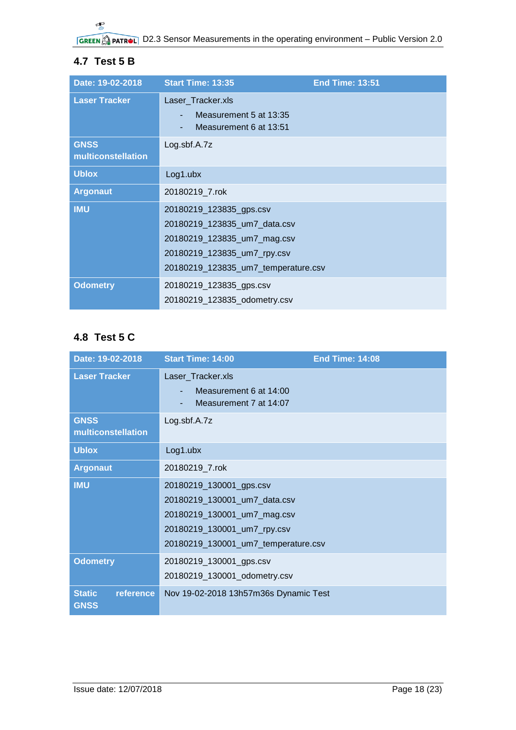## <span id="page-17-0"></span>**4.7 Test 5 B**

| Date: 19-02-2018                  | <b>Start Time: 13:35</b>                                                                                                                                     | <b>End Time: 13:51</b> |
|-----------------------------------|--------------------------------------------------------------------------------------------------------------------------------------------------------------|------------------------|
| <b>Laser Tracker</b>              | Laser_Tracker.xls<br>Measurement 5 at 13:35<br>Measurement 6 at 13:51                                                                                        |                        |
| <b>GNSS</b><br>multiconstellation | Log. sbf.A. 7z                                                                                                                                               |                        |
| <b>Ublox</b>                      | $Log1.$ ubx                                                                                                                                                  |                        |
| <b>Argonaut</b>                   | 20180219 7.rok                                                                                                                                               |                        |
| <b>IMU</b>                        | 20180219_123835_gps.csv<br>20180219_123835_um7_data.csv<br>20180219_123835_um7_mag.csv<br>20180219_123835_um7_rpy.csv<br>20180219_123835_um7_temperature.csv |                        |
| <b>Odometry</b>                   | 20180219_123835_gps.csv<br>20180219_123835_odometry.csv                                                                                                      |                        |

### <span id="page-17-1"></span>**4.8 Test 5 C**

| Date: 19-02-2018                          | <b>Start Time: 14:00</b>                                                                                                                                     | <b>End Time: 14:08</b> |
|-------------------------------------------|--------------------------------------------------------------------------------------------------------------------------------------------------------------|------------------------|
| <b>Laser Tracker</b>                      | Laser_Tracker.xls<br>Measurement 6 at 14:00<br>Measurement 7 at 14:07                                                                                        |                        |
| <b>GNSS</b><br>multiconstellation         | Log.sbf.A.7z                                                                                                                                                 |                        |
| <b>Ublox</b>                              | $Log1.$ ubx                                                                                                                                                  |                        |
| <b>Argonaut</b>                           | 20180219_7.rok                                                                                                                                               |                        |
| <b>IMU</b>                                | 20180219_130001_gps.csv<br>20180219_130001_um7_data.csv<br>20180219_130001_um7_mag.csv<br>20180219_130001_um7_rpy.csv<br>20180219_130001_um7_temperature.csv |                        |
| <b>Odometry</b>                           | 20180219_130001_gps.csv<br>20180219_130001_odometry.csv                                                                                                      |                        |
| <b>Static</b><br>reference<br><b>GNSS</b> | Nov 19-02-2018 13h57m36s Dynamic Test                                                                                                                        |                        |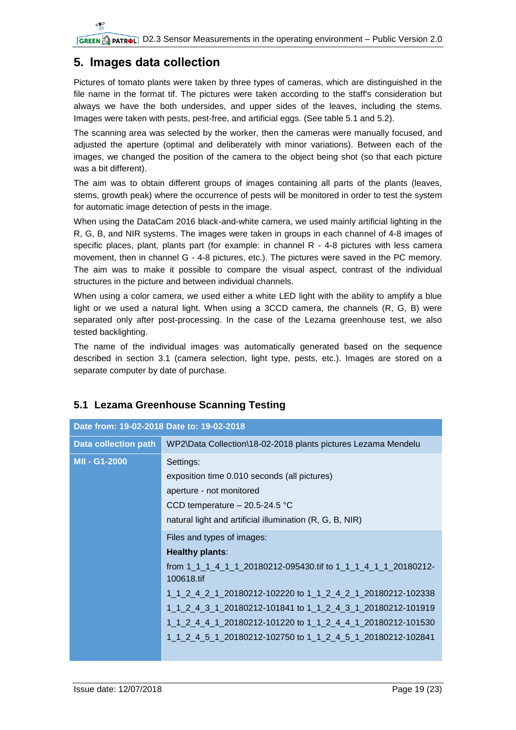## <span id="page-18-0"></span>**5. Images data collection**

Pictures of tomato plants were taken by three types of cameras, which are distinguished in the file name in the format tif. The pictures were taken according to the staff's consideration but always we have the both undersides, and upper sides of the leaves, including the stems. Images were taken with pests, pest-free, and artificial eggs. (See table [5.1](#page-18-1) and [5.2\)](#page-19-0).

The scanning area was selected by the worker, then the cameras were manually focused, and adjusted the aperture (optimal and deliberately with minor variations). Between each of the images, we changed the position of the camera to the object being shot (so that each picture was a bit different).

The aim was to obtain different groups of images containing all parts of the plants (leaves, stems, growth peak) where the occurrence of pests will be monitored in order to test the system for automatic image detection of pests in the image.

When using the DataCam 2016 black-and-white camera, we used mainly artificial lighting in the R, G, B, and NIR systems. The images were taken in groups in each channel of 4-8 images of specific places, plant, plants part (for example: in channel R - 4-8 pictures with less camera movement, then in channel G - 4-8 pictures, etc.). The pictures were saved in the PC memory. The aim was to make it possible to compare the visual aspect, contrast of the individual structures in the picture and between individual channels.

When using a color camera, we used either a white LED light with the ability to amplify a blue light or we used a natural light. When using a 3CCD camera, the channels (R, G, B) were separated only after post-processing. In the case of the Lezama greenhouse test, we also tested backlighting.

The name of the individual images was automatically generated based on the sequence described in section [3.1](#page-11-1) (camera selection, light type, pests, etc.). Images are stored on a separate computer by date of purchase.

| Date from: 19-02-2018 Date to: 19-02-2018 |                                                                             |
|-------------------------------------------|-----------------------------------------------------------------------------|
| <b>Data collection path</b>               | WP2\Data Collection\18-02-2018 plants pictures Lezama Mendelu               |
| MII - G1-2000                             | Settings:                                                                   |
|                                           | exposition time 0.010 seconds (all pictures)                                |
|                                           | aperture - not monitored                                                    |
|                                           | CCD temperature $-20.5-24.5$ °C                                             |
|                                           | natural light and artificial illumination (R, G, B, NIR)                    |
|                                           | Files and types of images:                                                  |
|                                           | <b>Healthy plants:</b>                                                      |
|                                           | from 1 1 1 4 1 1 20180212-095430.tif to 1 1 1 4 1 1 20180212-<br>100618.tif |
|                                           | 1_1_2_4_2_1_20180212-102220 to 1_1_2_4_2_1_20180212-102338                  |
|                                           | 1_1_2_4_3_1_20180212-101841 to 1_1_2_4_3_1_20180212-101919                  |
|                                           | 1_1_2_4_4_1_20180212-101220 to 1_1_2_4_4_1_20180212-101530                  |
|                                           | 1_1_2_4_5_1_20180212-102750 to 1_1_2_4_5_1_20180212-102841                  |
|                                           |                                                                             |

## <span id="page-18-1"></span>**5.1 Lezama Greenhouse Scanning Testing**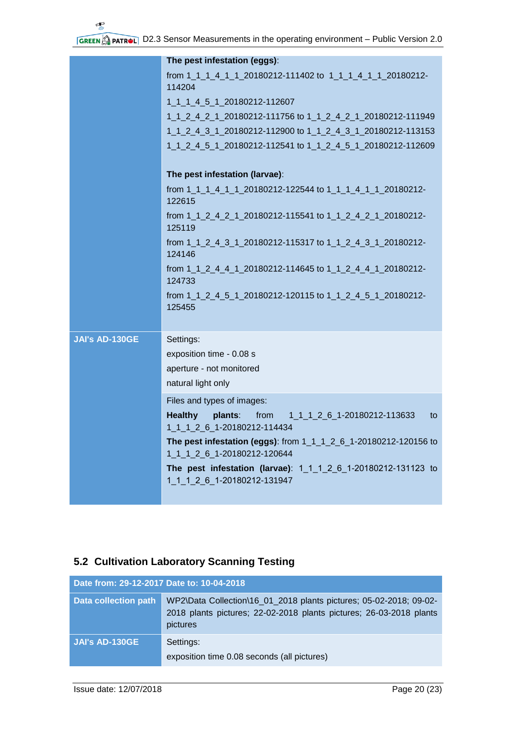|                       | The pest infestation (eggs):                                                                          |
|-----------------------|-------------------------------------------------------------------------------------------------------|
|                       | from 1_1_1_4_1_1_20180212-111402 to 1_1_1_4_1_1_20180212-<br>114204                                   |
|                       | 1_1_1_4_5_1_20180212-112607                                                                           |
|                       | 1_1_2_4_2_1_20180212-111756 to 1_1_2_4_2_1_20180212-111949                                            |
|                       | 1_1_2_4_3_1_20180212-112900 to 1_1_2_4_3_1_20180212-113153                                            |
|                       | 1_1_2_4_5_1_20180212-112541 to 1_1_2_4_5_1_20180212-112609                                            |
|                       | The pest infestation (larvae):                                                                        |
|                       | from 1_1_1_4_1_1_20180212-122544 to 1_1_1_4_1_1_20180212-<br>122615                                   |
|                       | from 1_1_2_4_2_1_20180212-115541 to 1_1_2_4_2_1_20180212-<br>125119                                   |
|                       | from 1_1_2_4_3_1_20180212-115317 to 1_1_2_4_3_1_20180212-<br>124146                                   |
|                       | from 1_1_2_4_4_1_20180212-114645 to 1_1_2_4_4_1_20180212-<br>124733                                   |
|                       | from 1 1 2 4 5 1 20180212-120115 to 1 1 2 4 5 1 20180212-<br>125455                                   |
| <b>JAI's AD-130GE</b> | Settings:                                                                                             |
|                       | exposition time - 0.08 s                                                                              |
|                       | aperture - not monitored                                                                              |
|                       | natural light only                                                                                    |
|                       | Files and types of images:                                                                            |
|                       | <b>Healthy</b><br>plants:<br>1_1_1_2_6_1-20180212-113633<br>from<br>to<br>1 1 1 2 6 1-20180212-114434 |
|                       | The pest infestation (eggs): from 1_1_1_2_6_1-20180212-120156 to<br>1 1 1 2 6 1-20180212-120644       |
|                       | The pest infestation (larvae): 1 1 1 2 6 1-20180212-131123 to<br>1 1 1 2 6 1-20180212-131947          |

## <span id="page-19-0"></span>**5.2 Cultivation Laboratory Scanning Testing**

| Date from: 29-12-2017 Date to: 10-04-2018 |                                                                                                                                                       |
|-------------------------------------------|-------------------------------------------------------------------------------------------------------------------------------------------------------|
| <b>Data collection path</b>               | WP2\Data Collection\16_01_2018 plants pictures; 05-02-2018; 09-02-<br>2018 plants pictures; 22-02-2018 plants pictures; 26-03-2018 plants<br>pictures |
| <b>JAI's AD-130GE</b>                     | Settings:<br>exposition time 0.08 seconds (all pictures)                                                                                              |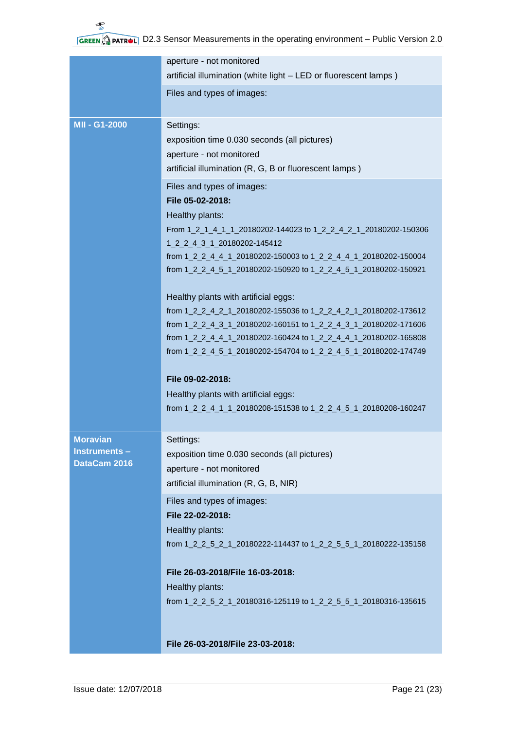|                                                 | aperture - not monitored<br>artificial illumination (white light - LED or fluorescent lamps)                                                                                                                                                                                                                     |
|-------------------------------------------------|------------------------------------------------------------------------------------------------------------------------------------------------------------------------------------------------------------------------------------------------------------------------------------------------------------------|
|                                                 | Files and types of images:                                                                                                                                                                                                                                                                                       |
| MII - G1-2000                                   | Settings:<br>exposition time 0.030 seconds (all pictures)<br>aperture - not monitored<br>artificial illumination (R, G, B or fluorescent lamps)                                                                                                                                                                  |
|                                                 | Files and types of images:<br>File 05-02-2018:<br>Healthy plants:<br>From 1_2_1_4_1_1_20180202-144023 to 1_2_2_4_2_1_20180202-150306<br>1_2_2_4_3_1_20180202-145412<br>from 1_2_2_4_4_1_20180202-150003 to 1_2_2_4_4_1_20180202-150004<br>from 1_2_2_4_5_1_20180202-150920 to 1_2_2_4_5_1_20180202-150921        |
|                                                 | Healthy plants with artificial eggs:<br>from 1_2_2_4_2_1_20180202-155036 to 1_2_2_4_2_1_20180202-173612<br>from 1_2_2_4_3_1_20180202-160151 to 1_2_2_4_3_1_20180202-171606<br>from 1_2_2_4_4_1_20180202-160424 to 1_2_2_4_4_1_20180202-165808<br>from 1_2_2_4_5_1_20180202-154704 to 1_2_2_4_5_1_20180202-174749 |
|                                                 | File 09-02-2018:<br>Healthy plants with artificial eggs:<br>from 1_2_2_4_1_1_20180208-151538 to 1_2_2_4_5_1_20180208-160247                                                                                                                                                                                      |
| <b>Moravian</b><br>Instruments-<br>DataCam 2016 | Settings:<br>exposition time 0.030 seconds (all pictures)<br>aperture - not monitored<br>artificial illumination (R, G, B, NIR)                                                                                                                                                                                  |
|                                                 | Files and types of images:<br>File 22-02-2018:<br>Healthy plants:<br>from 1_2_2_5_2_1_20180222-114437 to 1_2_2_5_5_1_20180222-135158                                                                                                                                                                             |
|                                                 | File 26-03-2018/File 16-03-2018:<br>Healthy plants:<br>from 1_2_2_5_2_1_20180316-125119 to 1_2_2_5_5_1_20180316-135615                                                                                                                                                                                           |
|                                                 | File 26-03-2018/File 23-03-2018:                                                                                                                                                                                                                                                                                 |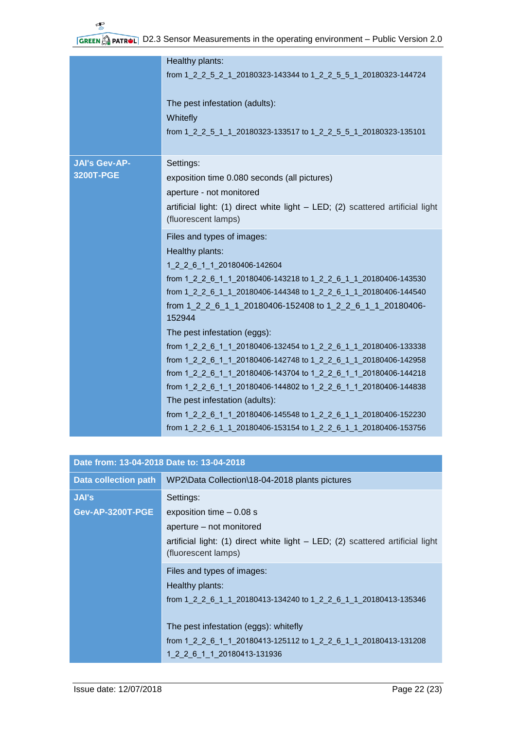|                      | Healthy plants:                                                                |
|----------------------|--------------------------------------------------------------------------------|
|                      | from 1_2_2_5_2_1_20180323-143344 to 1_2_2_5_5_1_20180323-144724                |
|                      | The pest infestation (adults):                                                 |
|                      | Whitefly                                                                       |
|                      | from 1_2_2_5_1_1_20180323-133517 to 1_2_2_5_5_1_20180323-135101                |
| <b>JAI's Gev-AP-</b> | Settings:                                                                      |
| 3200T-PGE            | exposition time 0.080 seconds (all pictures)                                   |
|                      | aperture - not monitored                                                       |
|                      | artificial light: (1) direct white light - LED; (2) scattered artificial light |
|                      | (fluorescent lamps)                                                            |
|                      |                                                                                |
|                      | Files and types of images:                                                     |
|                      | Healthy plants:                                                                |
|                      | 1_2_2_6_1_1_20180406-142604                                                    |
|                      | from 1 2 2 6 1 1 20180406-143218 to 1_2_2_6_1_1_20180406-143530                |
|                      | from 1_2_2_6_1_1_20180406-144348 to 1_2_2_6_1_1_20180406-144540                |
|                      | from 1_2_2_6_1_1_20180406-152408 to 1_2_2_6_1_1_20180406-<br>152944            |
|                      | The pest infestation (eggs):                                                   |
|                      | from 1 2 2 6 1 1 20180406-132454 to 1_2_2_6_1_1_20180406-133338                |
|                      | from 1 2 2 6 1 1 20180406-142748 to 1_2_2_6_1_1_20180406-142958                |
|                      | from 1_2_2_6_1_1_20180406-143704 to 1_2_2_6_1_1_20180406-144218                |
|                      | from 1_2_2_6_1_1_20180406-144802 to 1_2_2_6_1_1_20180406-144838                |
|                      | The pest infestation (adults):                                                 |
|                      | from 1_2_2_6_1_1_20180406-145548 to 1_2_2_6_1_1_20180406-152230                |
|                      | from 1_2_2_6_1_1_20180406-153154 to 1_2_2_6_1_1_20180406-153756                |
|                      |                                                                                |

| Date from: 13-04-2018 Date to: 13-04-2018 |                                                                                                                                                                                                                                                             |
|-------------------------------------------|-------------------------------------------------------------------------------------------------------------------------------------------------------------------------------------------------------------------------------------------------------------|
| <b>Data collection path</b>               | WP2\Data Collection\18-04-2018 plants pictures                                                                                                                                                                                                              |
| JAI's<br><b>Gev-AP-3200T-PGE</b>          | Settings:<br>exposition time $-0.08$ s<br>aperture – not monitored<br>artificial light: (1) direct white light - LED; (2) scattered artificial light<br>(fluorescent lamps)                                                                                 |
|                                           | Files and types of images:<br>Healthy plants:<br>from 1 2 2 6 1 1 20180413-134240 to 1 2 2 6 1 1 20180413-135346<br>The pest infestation (eggs): whitefly<br>from 1 2 2 6 1 1 20180413-125112 to 1 2 2 6 1 1 20180413-131208<br>1 2 2 6 1 1 20180413-131936 |